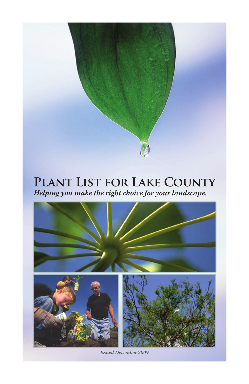# **Plant List for Lake County** *Helping you make the right choice for your landscape.*



*Issued December 2009*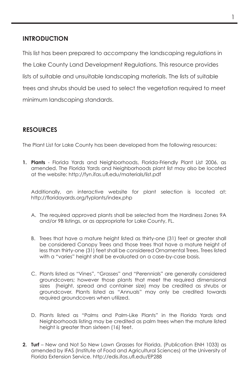#### **Introduction**

This list has been prepared to accompany the landscaping regulations in the Lake County Land Development Regulations. This resource provides lists of suitable and unsuitable landscaping materials. The lists of suitable trees and shrubs should be used to select the vegetation required to meet minimum landscaping standards.

# **resources**

The Plant List for Lake County has been developed from the following resources:

**1. Plants** - Florida Yards and Neighborhoods, Florida-Friendly Plant List 2006, as amended. The Florida Yards and Neighborhoods plant list may also be located at the website: http://fyn.ifas.ufl.edu/materials/list.pdf

Additionally, an interactive website for plant selection is located at: http://floridayards.org/fyplants/index.php

- A. The required approved plants shall be selected from the Hardiness Zones 9A and/or 9B listings, or as appropriate for Lake County, FL.
- B. Trees that have a mature height listed as thirty-one (31) feet or greater shall be considered Canopy Trees and those trees that have a mature height of less than thirty-one (31) feet shall be considered Ornamental Trees. Trees listed with a "varies" height shall be evaluated on a case-by-case basis.
- C. Plants listed as "Vines", "Grasses" and "Perennials" are generally considered groundcovers; however those plants that meet the required dimensional sizes (height, spread and container size) may be credited as shrubs or groundcover. Plants listed as "Annuals" may only be credited towards required groundcovers when utilized.
- D. Plants listed as "Palms and Palm-Like Plants" in the Florida Yards and Neighborhoods listing may be credited as palm trees when the mature listed height is greater than sixteen (16) feet.
- **2. Turf**  New and Not So New Lawn Grasses for Florida, (Publication ENH 1033) as amended by IFAS (Institute of Food and Agricultural Sciences) at the University of Florida Extension Service. http://edis.ifas.ufl.edu/EP288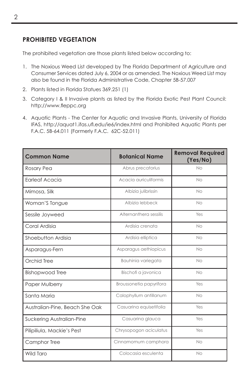### **Prohibited Vegetation**

The prohibited vegetation are those plants listed below according to:

- 1. The Noxious Weed List developed by The Florida Department of Agriculture and Consumer Services dated July 6, 2004 or as amended. The Noxious Weed List may also be found in the Florida Administrative Code, Chapter 5B-57.007
- 2. Plants listed in Florida Statues 369.251 (1)
- 3. Category I & II Invasive plants as listed by the Florida Exotic Pest Plant Council: http://www.fleppc.org
- 4. Aquatic Plants The Center for Aquatic and Invasive Plants, University of Florida IFAS, http://aquat1.ifas.ufl.edu/ie6/index.html and Prohibited Aquatic Plants per F.A.C. 5B-64.011 (Formerly F.A.C. 62C-52.011)

| <b>Common Name</b>             | <b>Botanical Name</b>   | <b>Removal Required</b><br>(Yes/No) |
|--------------------------------|-------------------------|-------------------------------------|
| Rosary Pea                     | Abrus precatorius       | No                                  |
| Earleaf Acacia                 | Acacia auriculiformis   | No                                  |
| Mimosa, Silk                   | Albizia julibrissin     | No                                  |
| Woman'S Tongue                 | Albizia lebbeck         | No                                  |
| Sessile Joyweed                | Alternanthera sessilis  | Yes                                 |
| Coral Ardisia                  | Ardisia crenata         | No                                  |
| Shoebutton Ardisia             | Ardisia elliptica       | No                                  |
| Asparagus-Fern                 | Asparagus aethiopicus   | No                                  |
| Orchid Tree                    | Bauhinia variegata      | No                                  |
| <b>Bishopwood Tree</b>         | Bischofi a javonica     | No                                  |
| Paper Mulberry                 | Broussonetia papyrifora | Yes                                 |
| Santa Maria                    | Calophyllum antillanum  | No                                  |
| Australian-Pine, Beach She Oak | Casuarina equisetifolia | Yes                                 |
| Suckering Australian-Pine      | Casuarina glauca        | Yes                                 |
| Pilipiliula, Mackie's Pest     | Chrysopogon aciculatus  | Yes                                 |
| Camphor Tree                   | Cinnamomum camphora     | <b>No</b>                           |
| Wild Taro                      | Colocasia esculenta     | No                                  |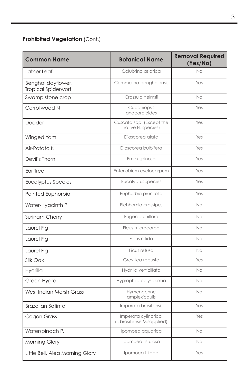| <b>Common Name</b>                        | <b>Botanical Name</b>                                | <b>Removal Required</b><br>(Yes/No) |
|-------------------------------------------|------------------------------------------------------|-------------------------------------|
| Lather Leaf                               | Colubrina asiatica                                   | N <sub>O</sub>                      |
| Benghal dayflower,<br>Tropical Spiderwort | Commelina benghalensis                               | Yes                                 |
| Swamp stone crop                          | Crassula helmsii                                     | No.                                 |
| Carrotwood N                              | Cupaniopsis<br>anacardioides                         | Yes                                 |
| Dodder                                    | Cuscata spp. (Except the<br>native FL species)       | Yes                                 |
| Winged Yam                                | Dioscorea alata                                      | Yes                                 |
| Air-Potato N                              | Dioscorea bulbifera                                  | Yes                                 |
| Devil's Thorn                             | Emex spinosa                                         | Yes                                 |
| Ear Tree                                  | Enterlobium cyclocarpum                              | Yes                                 |
| <b>Eucalyptus Species</b>                 | Eucalyptus species                                   | Yes                                 |
| Painted Euphorbia                         | Euphorbia prunifolia                                 | Yes                                 |
| Water-Hyacinth P                          | Eichhornia crassipes                                 | No                                  |
| Surinam Cherry                            | Eugenia uniflora                                     | No.                                 |
| Laurel Fig                                | Ficus microcarpa                                     | No                                  |
| Laurel Fig                                | Ficus nitida                                         | No                                  |
| Laurel Fig                                | Ficus retusa                                         | No                                  |
| Silk Oak                                  | Grevillea robusta                                    | Yes                                 |
| <b>Hydrilla</b>                           | Hydrilla verticillata                                | No                                  |
| Green Hygro                               | Hygrophila polysperma                                | No                                  |
| West Indian Marsh Grass                   | Hymenachne<br>amplexicaulis                          | No                                  |
| <b>Brazalian Satintail</b>                | Imperata brasiliensis                                | Yes                                 |
| Cogon Grass                               | Imperata cylindrical<br>(I. brasiliensis Misapplied) | Yes                                 |
| Waterspinach P,                           | Ipomoea aquatica                                     | No.                                 |
| Morning Glory                             | Ipomoea fistulosa                                    | No                                  |
| Little Bell, Aiea Morning Glory           | Ipomoea triloba                                      | Yes                                 |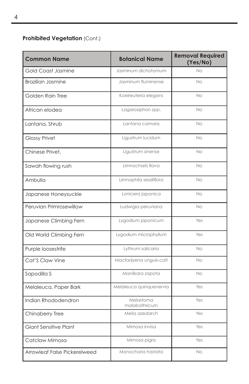| <b>Common Name</b>           | <b>Botanical Name</b>      | <b>Removal Required</b><br>(Yes/No) |
|------------------------------|----------------------------|-------------------------------------|
| Gold Coast Jasmine           | Jasminum dichotomum        | No                                  |
| <b>Brazilian Jasmine</b>     | Jasminum fluminense        | <b>No</b>                           |
| Golden Rain Tree             | Koelreuteria elegans       | <b>No</b>                           |
| African elodea               | Lagarosiphon spp.          | <b>No</b>                           |
| Lantana, Shrub               | Lantana camara             | <b>No</b>                           |
| <b>Glossy Privet</b>         | Ligustrum lucidum          | <b>No</b>                           |
| Chinese Privet.              | Ligustrum sinense          | <b>No</b>                           |
| Sawah flowing rush           | Limnocharis flava          | <b>No</b>                           |
| Ambulia                      | Limnophila sessiliflora    | No                                  |
| Japanese Honeysuckle         | Lonicera japonica          | <b>No</b>                           |
| Peruvian Primrosewillow      | Ludwigia peruviana         | <b>No</b>                           |
| Japanese Climbing Fern       | Lygodium japonicum         | Yes                                 |
| Old World Climbing Fern      | Lygodium microphyllum      | Yes                                 |
| Purple loosestrife           | Lythrum salicaria          | <b>No</b>                           |
| Cat'S Claw Vine              | Macfadyena unguis-cati     | <b>No</b>                           |
| Sapodilla S                  | Manilkara zapota           | <b>No</b>                           |
| Melaleuca, Paper Bark        | Melaleuca quinquenervia    | Yes                                 |
| Indian Rhododendron          | Melastoma<br>malabathricum | Yes                                 |
| Chinaberry Tree              | Melia azedarch             | Yes                                 |
| Giant Sensitive Plant        | Mimosa invisa              | Yes                                 |
| Catclaw Mimosa               | Mimosa pigra               | Yes                                 |
| Arrowleaf False Pickerelweed | Monochoria hastata         | No                                  |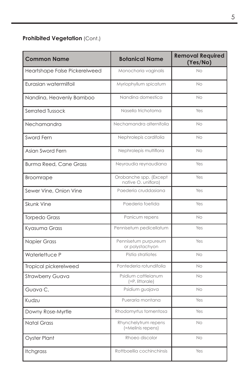| <b>Common Name</b>            | <b>Botanical Name</b>                         | <b>Removal Required</b><br>(Yes/No) |
|-------------------------------|-----------------------------------------------|-------------------------------------|
| Heartshape False Pickerelweed | Monochoria vaginalis                          | No                                  |
| Eurasian watermilfoil         | Myriophyllum spicatum                         | No.                                 |
| Nandina, Heavenly Bamboo      | Nandina domestica                             | No                                  |
| Serrated Tussock              | Nasella trichotoma                            | Yes                                 |
| Nechamandra                   | Nechamandra alternifolia                      | No                                  |
| Sword Fern                    | Nephrolepis cordifolia                        | No                                  |
| Asian Sword Fern              | Nephrolepis multiflora                        | No                                  |
| <b>Burma Reed, Cane Grass</b> | Neyraudia reynaudiana                         | Yes                                 |
| <b>Broomrape</b>              | Orobanche spp. (Except<br>native O. uniflora) | Yes                                 |
| Sewer Vine, Onion Vine        | Paederia cruddasiana                          | Yes                                 |
| <b>Skunk Vine</b>             | Paederia foetida                              | Yes                                 |
| <b>Torpedo Grass</b>          | Panicum repens                                | No.                                 |
| Kyasuma Grass                 | Pennisetum pedicellatum                       | Yes                                 |
| Napier Grass                  | Pennisetum purpureum<br>or polystachyon       | Yes                                 |
| Waterlettuce P                | Pistia stratiotes                             | No                                  |
| Tropical pickerelweed         | Pontederia rotundifolia                       | No                                  |
| <b>Strawberry Guava</b>       | Psidium cattleianum<br>(=P. littorale)        | No                                  |
| Guava C.                      | Psidium guajava                               | No                                  |
| Kudzu                         | Pueraria montana                              | Yes                                 |
| Downy Rose-Myrtle             | Rhodomyrtus tomentosa                         | Yes                                 |
| <b>Natal Grass</b>            | Rhynchelytrum repens<br>(=Melinis repens)     | No                                  |
| Oyster Plant                  | Rhoeo discolor                                | No.                                 |
| Itchgrass                     | Rottboellia cochinchinsis                     | Yes                                 |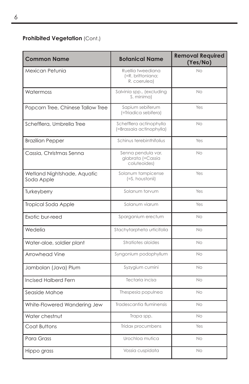| <b>Common Name</b>                        | <b>Botanical Name</b>                                   | <b>Removal Required</b><br>(Yes/No) |
|-------------------------------------------|---------------------------------------------------------|-------------------------------------|
| Mexican Petunia                           | Ruellia tweediana<br>(=R. brittoniana;<br>R. coerulea)  | No                                  |
| Watermoss                                 | Salvinia spp., (excluding<br>S. minima)                 | No.                                 |
| Popcorn Tree, Chinese Tallow Tree         | Sapium sebiferum<br>(=Triadica sebifera)                | Yes                                 |
| Schefflera, Umbrella Tree                 | Schefflera actinophylla<br>(=Brassaia actinophylla)     | No.                                 |
| <b>Brazilian Pepper</b>                   | Schinus terebinthifolius                                | Yes                                 |
| Cassia, Christmas Senna                   | Senna pendula var.<br>glabrata (=Cassia<br>coluteoides) | N <sub>O</sub>                      |
| Wetland Nightshade, Aquatic<br>Soda Apple | Solanum tampicense<br>(=S. houstonii)                   | Yes                                 |
| Turkeyberry                               | Solanum torvum                                          | Yes                                 |
| Tropical Soda Apple                       | Solanum viarum                                          | Yes                                 |
| Exotic bur-reed                           | Sparganium erectum                                      | No                                  |
| Wedelia                                   | Stachytarpheta urticifolia                              | No.                                 |
| Water-aloe, soldier plant                 | Stratiotes aloides                                      | No.                                 |
| Arrowhead Vine                            | Syngonium podophyllum                                   | No.                                 |
| Jambolan (Java) Plum                      | Syzygium cumini                                         | No                                  |
| Incised Halberd Fern                      | Tectaria incisa                                         | No.                                 |
| Seaside Mahoe                             | Thespesia populnea                                      | No                                  |
| White-Flowered Wandering Jew              | Tradescantia fluminensis                                | No.                                 |
| Water chestnut                            | Trapa spp.                                              | No                                  |
| Coat Buttons                              | Tridax procumbens                                       | Yes                                 |
| Para Grass                                | Urochlog mutica                                         | No.                                 |
| Hippo grass                               | Vossia cuspidata                                        | No                                  |